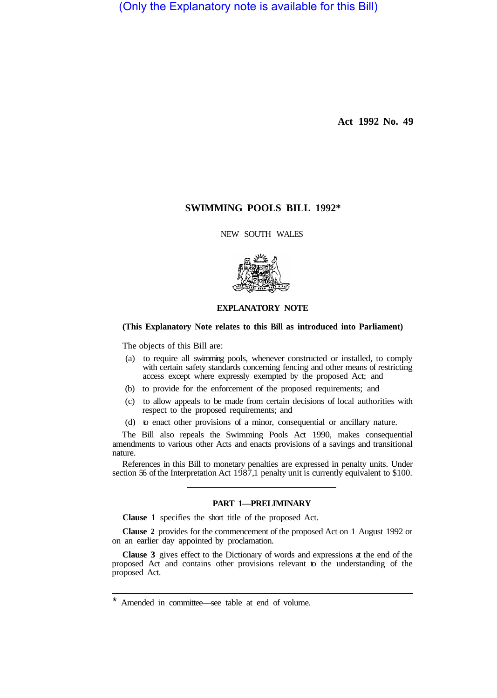(Only the Explanatory note is available for this Bill)

**Act 1992 No. 49** 

# **SWIMMING POOLS BILL 1992\***

NEW SOUTH WALES



## **EXPLANATORY NOTE**

## **(This Explanatory Note relates to this Bill as introduced into Parliament)**

The objects of this Bill are:

- (a) to require all swimming pools, whenever constructed or installed, to comply with certain safety standards concerning fencing and other means of restricting access except where expressly exempted by the proposed Act; and
- (b) to provide for the enforcement of the proposed requirements; and
- (c) to allow appeals to be made from certain decisions of local authorities with respect to the proposed requirements; and
- (d) to enact other provisions of a minor, consequential or ancillary nature.

The Bill also repeals the Swimming Pools Act 1990, makes consequential amendments to various other Acts and enacts provisions of a savings and transitional nature.

References in this Bill to monetary penalties are expressed in penalty units. Under section 56 of the Interpretation Act 1987,1 penalty unit is currently equivalent to \$100.

## **PART 1—PRELIMINARY**

**Clause 1** specifies the short title of the proposed Act.

**Clause 2** provides for the commencement of the proposed Act on 1 August 1992 or on an earlier day appointed by proclamation.

**Clause 3** gives effect to the Dictionary of words and expressions at the end of the proposed Act and contains other provisions relevant to the understanding of the proposed Act.

Amended in committee—see table at end of volume.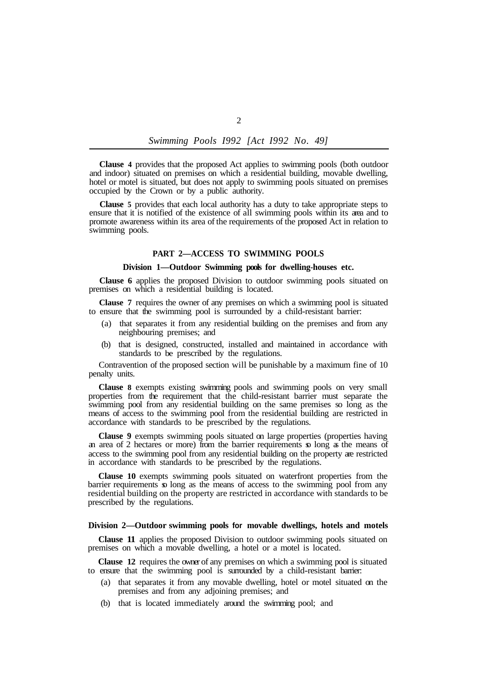*Swimming Pools I992 [Act I992 No. 49]* 

**Clause 4** provides that the proposed Act applies to swimming pools (both outdoor and indoor) situated on premises on which a residential building, movable dwelling, hotel or motel is situated, but does not apply to swimming pools situated on premises occupied by the Crown or by a public authority.

**Clause 5** provides that each local authority has a duty to take appropriate steps to ensure that it is notified of the existence of all swimming pools within its area and to promote awareness within its area of the requirements of the proposed Act in relation to swimming pools.

#### **PART 2—ACCESS TO SWIMMING POOLS**

#### **Division 1—Outdoor Swimming pools for dwelling-houses etc.**

**Clause 6** applies the proposed Division to outdoor swimming pools situated on premises on which a residential building is located.

**Clause 7** requires the owner of any premises on which a swimming pool is situated to ensure that the swimming pool is surrounded by a child-resistant barrier:

- (a) that separates it from any residential building on the premises and from any neighbouring premises; and
- (b) that is designed, constructed, installed and maintained in accordance with standards to be prescribed by the regulations.

Contravention of the proposed section will be punishable by a maximum fine of 10 penalty units.

**Clause 8** exempts existing swimming pools and swimming pools on very small properties from the requirement that the child-resistant barrier must separate the swimming pool from any residential building on the same premises so long as the means of access to the swimming pool from the residential building are restricted in accordance with standards to be prescribed by the regulations.

**Clause 9** exempts swimming pools situated on large properties (properties having an area of 2 hectares or more) from the barrier requirements so long as the means of access to the swimming pool from any residential building on the property are restricted in accordance with standards to be prescribed by the regulations.

**Clause 10** exempts swimming pools situated on waterfront properties from the barrier requirements so long as the means of access to the swimming pool from any residential building on the property are restricted in accordance with standards to be prescribed by the regulations.

### **Division 2—Outdoor swimming pools for movable dwellings, hotels and motels**

**Clause 11** applies the proposed Division to outdoor swimming pools situated on premises on which a movable dwelling, a hotel or a motel is located.

**Clause 12** requires the owner of any premises on which a swimming pool is situated to ensure that the swimming pool is surrounded by a child-resistant barrier:

- (a) that separates it from any movable dwelling, hotel or motel situated on the premises and from any adjoining premises; and
- (b) that is located immediately around the swimming pool; and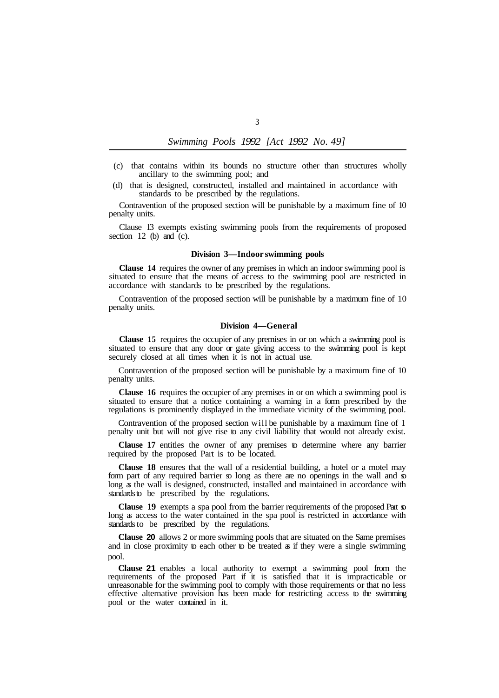| Swimming Pools 1992 [Act 1992 No. 49] |  |  |  |  |  |  |
|---------------------------------------|--|--|--|--|--|--|
|---------------------------------------|--|--|--|--|--|--|

- (c) that contains within its bounds no structure other than structures wholly ancillary to the swimming pool; and
- (d) that is designed, constructed, installed and maintained in accordance with standards to be prescribed by the regulations.

Contravention of the proposed section will be punishable by a maximum fine of 10 penalty units.

Clause 13 exempts existing swimming pools from the requirements of proposed section  $12$  (b) and (c).

#### **Division 3—Indoor swimming pools**

**Clause 14** requires the owner of any premises in which an indoor swimming pool is situated to ensure that the means of access to the swimming pool are restricted in accordance with standards to be prescribed by the regulations.

Contravention of the proposed section will be punishable by a maximum fine of 10 penalty units.

### **Division 4—General**

**Clause 15** requires the occupier of any premises in or on which a swimming pool is situated to ensure that any door or gate giving access to the swimming pool is kept securely closed at all times when it is not in actual use.

Contravention of the proposed section will be punishable by a maximum fine of 10 penalty units.

**Clause 16** requires the occupier of any premises in or on which a swimming pool is situated to ensure that a notice containing a warning in a form prescribed by the regulations is prominently displayed in the immediate vicinity of the swimming pool.

Contravention of the proposed section will be punishable by a maximum fine of 1 penalty unit but will not give rise to any civil liability that would not already exist.

**Clause 17** entitles the owner of any premises to determine where any barrier required by the proposed Part is to be located.

**Clause 18** ensures that the wall of a residential building, a hotel or a motel may form part of any required barrier so long as there are no openings in the wall and so long as the wall is designed, constructed, installed and maintained in accordance with standards to be prescribed by the regulations.

**Clause 19** exempts a spa pool from the barrier requirements of the proposed Part so long as access to the water contained in the spa pool is restricted in accordance with standards to be prescribed by the regulations.

**Clause 20** allows 2 or more swimming pools that are situated on the Same premises and in close proximity to each other to be treated as if they were a single swimming pool.

**Clause 21** enables a local authority to exempt a swimming pool from the requirements of the proposed Part if it is satisfied that it is impracticable or unreasonable for the swimming pool to comply with those requirements or that no less effective alternative provision has been made for restricting access to the swimming pool or the water contained in it.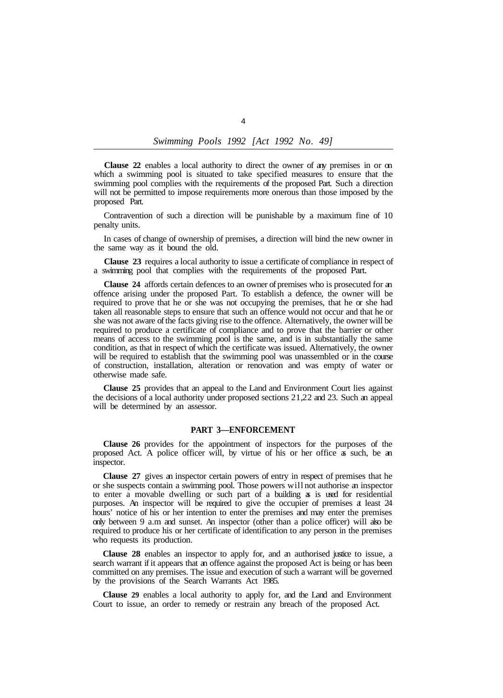**Clause 22** enables a local authority to direct the owner of any premises in or on which a swimming pool is situated to take specified measures to ensure that the swimming pool complies with the requirements of the proposed Part. Such a direction will not be permitted to impose requirements more onerous than those imposed by the proposed Part.

Contravention of such a direction will be punishable by a maximum fine of 10 penalty units.

the same way as it bound the old. In cases of change of ownership of premises, a direction will bind the new owner in

**Clause 23** requires a local authority to issue a certificate of compliance in respect of a swimming pool that complies with the requirements of the proposed Part.

**Clause 24** affords certain defences to an owner of premises who is prosecuted for an offence arising under the proposed Part. To establish a defence, the owner will be required to prove that he or she was not occupying the premises, that he or she had taken all reasonable steps to ensure that such an offence would not occur and that he or she was not aware of the facts giving rise to the offence. Alternatively, the owner will be required to produce a certificate of compliance and to prove that the barrier or other means of access to the swimming pool is the same, and is in substantially the same condition, as that in respect of which the certificate was issued. Alternatively, the owner will be required to establish that the swimming pool was unassembled or in the course of construction, installation, alteration or renovation and was empty of water or otherwise made safe.

**Clause 25** provides that an appeal to the Land and Environment Court lies against the decisions of a local authority under proposed sections 21, 22 and 23. Such an appeal will be determined by an assessor.

#### **PART 3—ENFORCEMENT**

**Clause 26** provides for the appointment of inspectors for the purposes of the proposed Act. A police officer will, by virtue of his or her office as such, be an inspector.

**Clause 27** gives an inspector certain powers of entry in respect of premises that he or she suspects contain a swimming pool. Those powers will not authorise an inspector to enter a movable dwelling or such part of a building as is used for residential purposes. An inspector will be required to give the occupier of premises at least 24 hours' notice of his or her intention to enter the premises and may enter the premises only between 9 a.m and sunset. An inspector (other than a police officer) will also be required to produce his or her certificate of identification to any person in the premises who requests its production.

**Clause 28** enables an inspector to apply for, and an authorised justice to issue, a search warrant if it appears that an offence against the proposed Act is being or has been committed on any premises. The issue and execution of such a warrant will be governed by the provisions of the Search Warrants Act 1985.

**Clause 29** enables a local authority to apply for, and the Land and Environment Court to issue, an order to remedy or restrain any breach of the proposed Act.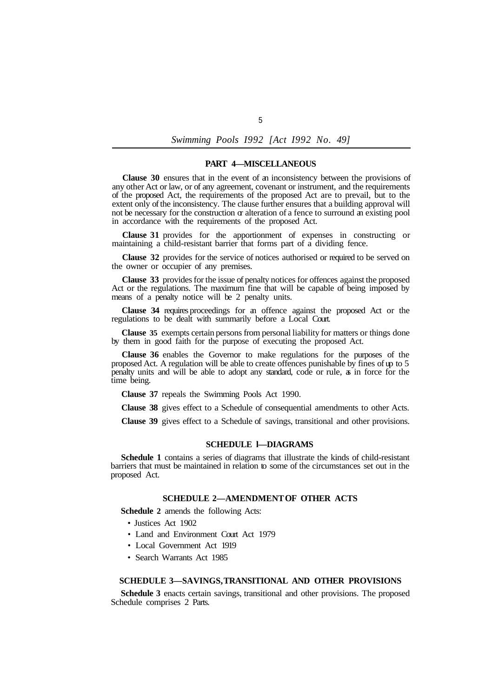*Swimming Pools I992 [Act I992 No. 49]* 

### **PART 4—MISCELLANEOUS**

**Clause 30** ensures that in the event of an inconsistency between the provisions of any other Act or law, or of any agreement, covenant or instrument, and the requirements of the proposed Act, the requirements of the proposed Act are to prevail, but to the extent only of the inconsistency. The clause further ensures that a building approval will not be necessary for the construction  $\alpha$  alteration of a fence to surround an existing pool in accordance with the requirements of the proposed Act.

**Clause 31** provides for the apportionment of expenses in constructing or maintaining a child-resistant barrier that forms part of a dividing fence.

**Clause 32** provides for the service of notices authorised or required to be served on the owner or occupier of any premises.

**Clause 33** provides for the issue of penalty notices for offences against the proposed Act or the regulations. The maximum fine that will be capable of being imposed by means of a penalty notice will be 2 penalty units.

**Clause 34** requires proceedings for an offence against the proposed Act or the regulations to be dealt with summarily before a Local Court.

**Clause 35** exempts certain persons from personal liability for matters or things done by them in good faith for the purpose of executing the proposed Act.

**Clause 36** enables the Governor to make regulations for the purposes of the proposed Act. A regulation will be able to create offences punishable by fines of up to 5 penalty units and will be able to adopt any standard, code or rule, as in force for the time being.

**Clause 37** repeals the Swimming Pools Act 1990.

**Clause 38** gives effect to a Schedule of consequential amendments to other Acts.

**Clause 39** gives effect to a Schedule of savings, transitional and other provisions.

### **SCHEDULE l—DIAGRAMS**

**Schedule 1** contains a series of diagrams that illustrate the kinds of child-resistant barriers that must be maintained in relation to some of the circumstances set out in the proposed Act.

#### **SCHEDULE 2—AMENDMENT OF OTHER ACTS**

**Schedule 2** amends the following Acts:

- Justices Act 1902
- Land and Environment Court Act 1979
- Local Government Act 1919
- Search Warrants Act 1985

## **SCHEDULE 3—SAVINGS, TRANSITIONAL AND OTHER PROVISIONS**

**Schedule 3** enacts certain savings, transitional and other provisions. The proposed Schedule comprises 2 Parts.